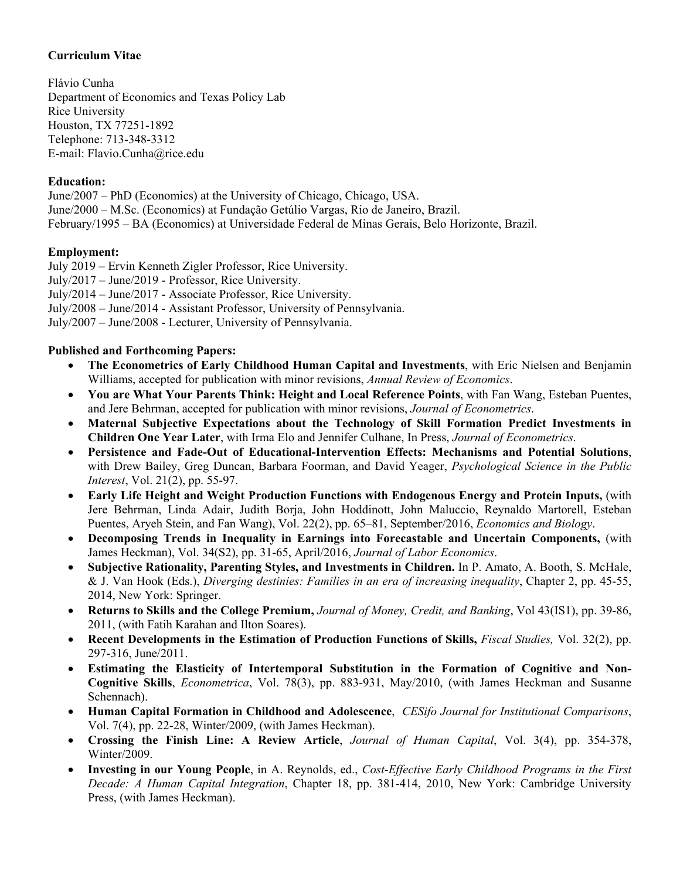## **Curriculum Vitae**

Flávio Cunha Department of Economics and Texas Policy Lab Rice University Houston, TX 77251-1892 Telephone: 713-348-3312 E-mail: Flavio.Cunha@rice.edu

# **Education:**

June/2007 – PhD (Economics) at the University of Chicago, Chicago, USA. June/2000 – M.Sc. (Economics) at Fundação Getúlio Vargas, Rio de Janeiro, Brazil. February/1995 – BA (Economics) at Universidade Federal de Minas Gerais, Belo Horizonte, Brazil.

## **Employment:**

July 2019 – Ervin Kenneth Zigler Professor, Rice University.

July/2017 – June/2019 - Professor, Rice University.

July/2014 – June/2017 - Associate Professor, Rice University.

July/2008 – June/2014 - Assistant Professor, University of Pennsylvania.

July/2007 – June/2008 - Lecturer, University of Pennsylvania.

## **Published and Forthcoming Papers:**

- **The Econometrics of Early Childhood Human Capital and Investments**, with Eric Nielsen and Benjamin Williams, accepted for publication with minor revisions, *Annual Review of Economics*.
- **You are What Your Parents Think: Height and Local Reference Points**, with Fan Wang, Esteban Puentes, and Jere Behrman, accepted for publication with minor revisions, *Journal of Econometrics*.
- **Maternal Subjective Expectations about the Technology of Skill Formation Predict Investments in Children One Year Later**, with Irma Elo and Jennifer Culhane, In Press, *Journal of Econometrics*.
- **Persistence and Fade-Out of Educational-Intervention Effects: Mechanisms and Potential Solutions**, with Drew Bailey, Greg Duncan, Barbara Foorman, and David Yeager, *Psychological Science in the Public Interest*, Vol. 21(2), pp. 55-97.
- **Early Life Height and Weight Production Functions with Endogenous Energy and Protein Inputs,** (with Jere Behrman, Linda Adair, Judith Borja, John Hoddinott, John Maluccio, Reynaldo Martorell, Esteban Puentes, Aryeh Stein, and Fan Wang), Vol. 22(2), pp. 65–81, September/2016, *Economics and Biology*.
- **Decomposing Trends in Inequality in Earnings into Forecastable and Uncertain Components,** (with James Heckman), Vol. 34(S2), pp. 31-65, April/2016, *Journal of Labor Economics*.
- **Subjective Rationality, Parenting Styles, and Investments in Children.** In P. Amato, A. Booth, S. McHale, & J. Van Hook (Eds.), *Diverging destinies: Families in an era of increasing inequality*, Chapter 2, pp. 45-55, 2014, New York: Springer.
- **Returns to Skills and the College Premium,** *Journal of Money, Credit, and Banking*, Vol 43(IS1), pp. 39-86, 2011, (with Fatih Karahan and Ilton Soares).
- **Recent Developments in the Estimation of Production Functions of Skills,** *Fiscal Studies,* Vol. 32(2), pp. 297-316, June/2011.
- **Estimating the Elasticity of Intertemporal Substitution in the Formation of Cognitive and Non-Cognitive Skills**, *Econometrica*, Vol. 78(3), pp. 883-931, May/2010, (with James Heckman and Susanne Schennach).
- **Human Capital Formation in Childhood and Adolescence**, *CESifo Journal for Institutional Comparisons*, Vol. 7(4), pp. 22-28, Winter/2009, (with James Heckman).
- **Crossing the Finish Line: A Review Article**, *Journal of Human Capital*, Vol. 3(4), pp. 354-378, Winter/2009.
- **Investing in our Young People**, in A. Reynolds, ed., *Cost-Effective Early Childhood Programs in the First Decade: A Human Capital Integration*, Chapter 18, pp. 381-414, 2010, New York: Cambridge University Press, (with James Heckman).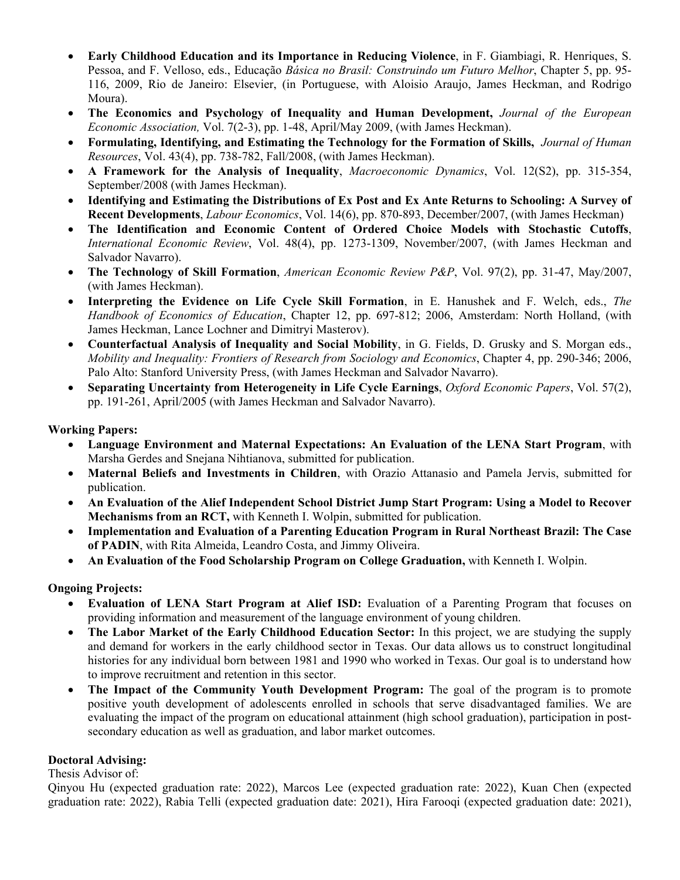- **Early Childhood Education and its Importance in Reducing Violence**, in F. Giambiagi, R. Henriques, S. Pessoa, and F. Velloso, eds., Educação *Básica no Brasil: Construindo um Futuro Melhor*, Chapter 5, pp. 95- 116, 2009, Rio de Janeiro: Elsevier, (in Portuguese, with Aloisio Araujo, James Heckman, and Rodrigo Moura).
- **The Economics and Psychology of Inequality and Human Development,** *Journal of the European Economic Association,* Vol. 7(2-3), pp. 1-48, April/May 2009, (with James Heckman).
- **Formulating, Identifying, and Estimating the Technology for the Formation of Skills,** *Journal of Human Resources*, Vol. 43(4), pp. 738-782, Fall/2008, (with James Heckman).
- **A Framework for the Analysis of Inequality**, *Macroeconomic Dynamics*, Vol. 12(S2), pp. 315-354, September/2008 (with James Heckman).
- **Identifying and Estimating the Distributions of Ex Post and Ex Ante Returns to Schooling: A Survey of Recent Developments**, *Labour Economics*, Vol. 14(6), pp. 870-893, December/2007, (with James Heckman)
- **The Identification and Economic Content of Ordered Choice Models with Stochastic Cutoffs**, *International Economic Review*, Vol. 48(4), pp. 1273-1309, November/2007, (with James Heckman and Salvador Navarro).
- **The Technology of Skill Formation**, *American Economic Review P&P*, Vol. 97(2), pp. 31-47, May/2007, (with James Heckman).
- **Interpreting the Evidence on Life Cycle Skill Formation**, in E. Hanushek and F. Welch, eds., *The Handbook of Economics of Education*, Chapter 12, pp. 697-812; 2006, Amsterdam: North Holland, (with James Heckman, Lance Lochner and Dimitryi Masterov).
- **Counterfactual Analysis of Inequality and Social Mobility**, in G. Fields, D. Grusky and S. Morgan eds., *Mobility and Inequality: Frontiers of Research from Sociology and Economics*, Chapter 4, pp. 290-346; 2006, Palo Alto: Stanford University Press, (with James Heckman and Salvador Navarro).
- **Separating Uncertainty from Heterogeneity in Life Cycle Earnings**, *Oxford Economic Papers*, Vol. 57(2), pp. 191-261, April/2005 (with James Heckman and Salvador Navarro).

## **Working Papers:**

- **Language Environment and Maternal Expectations: An Evaluation of the LENA Start Program**, with Marsha Gerdes and Snejana Nihtianova, submitted for publication.
- **Maternal Beliefs and Investments in Children**, with Orazio Attanasio and Pamela Jervis, submitted for publication.
- **An Evaluation of the Alief Independent School District Jump Start Program: Using a Model to Recover Mechanisms from an RCT,** with Kenneth I. Wolpin, submitted for publication.
- **Implementation and Evaluation of a Parenting Education Program in Rural Northeast Brazil: The Case of PADIN**, with Rita Almeida, Leandro Costa, and Jimmy Oliveira.
- **An Evaluation of the Food Scholarship Program on College Graduation,** with Kenneth I. Wolpin.

## **Ongoing Projects:**

- **Evaluation of LENA Start Program at Alief ISD:** Evaluation of a Parenting Program that focuses on providing information and measurement of the language environment of young children.
- The Labor Market of the Early Childhood Education Sector: In this project, we are studying the supply and demand for workers in the early childhood sector in Texas. Our data allows us to construct longitudinal histories for any individual born between 1981 and 1990 who worked in Texas. Our goal is to understand how to improve recruitment and retention in this sector.
- The Impact of the Community Youth Development Program: The goal of the program is to promote positive youth development of adolescents enrolled in schools that serve disadvantaged families. We are evaluating the impact of the program on educational attainment (high school graduation), participation in postsecondary education as well as graduation, and labor market outcomes.

### **Doctoral Advising:**

#### Thesis Advisor of:

Qinyou Hu (expected graduation rate: 2022), Marcos Lee (expected graduation rate: 2022), Kuan Chen (expected graduation rate: 2022), Rabia Telli (expected graduation date: 2021), Hira Farooqi (expected graduation date: 2021),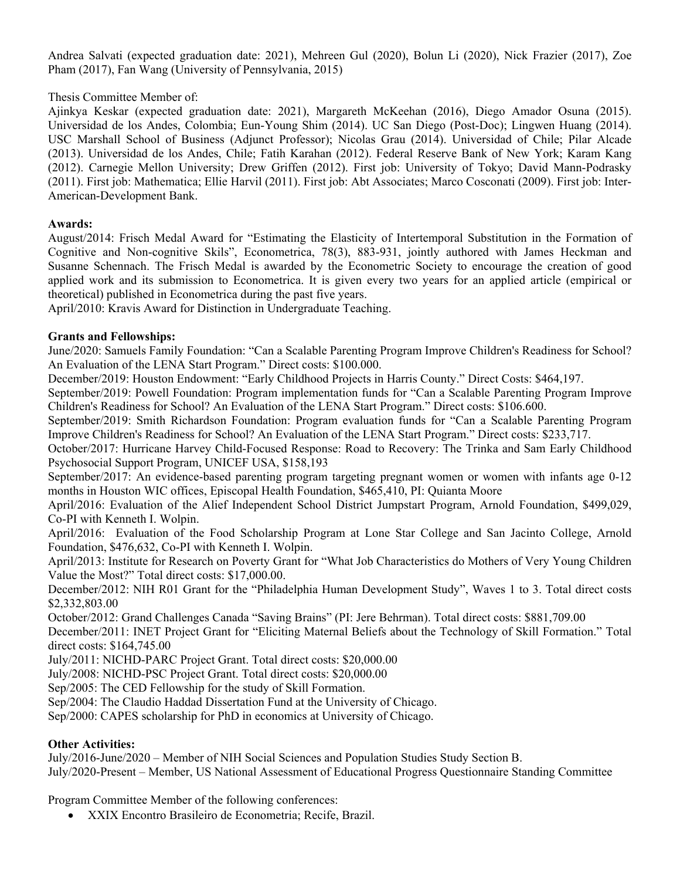Andrea Salvati (expected graduation date: 2021), Mehreen Gul (2020), Bolun Li (2020), Nick Frazier (2017), Zoe Pham (2017), Fan Wang (University of Pennsylvania, 2015)

Thesis Committee Member of:

Ajinkya Keskar (expected graduation date: 2021), Margareth McKeehan (2016), Diego Amador Osuna (2015). Universidad de los Andes, Colombia; Eun-Young Shim (2014). UC San Diego (Post-Doc); Lingwen Huang (2014). USC Marshall School of Business (Adjunct Professor); Nicolas Grau (2014). Universidad of Chile; Pilar Alcade (2013). Universidad de los Andes, Chile; Fatih Karahan (2012). Federal Reserve Bank of New York; Karam Kang (2012). Carnegie Mellon University; Drew Griffen (2012). First job: University of Tokyo; David Mann-Podrasky (2011). First job: Mathematica; Ellie Harvil (2011). First job: Abt Associates; Marco Cosconati (2009). First job: Inter-American-Development Bank.

### **Awards:**

August/2014: Frisch Medal Award for "Estimating the Elasticity of Intertemporal Substitution in the Formation of Cognitive and Non-cognitive Skils", Econometrica, 78(3), 883-931, jointly authored with James Heckman and Susanne Schennach. The Frisch Medal is awarded by the Econometric Society to encourage the creation of good applied work and its submission to Econometrica. It is given every two years for an applied article (empirical or theoretical) published in Econometrica during the past five years.

April/2010: Kravis Award for Distinction in Undergraduate Teaching.

### **Grants and Fellowships:**

June/2020: Samuels Family Foundation: "Can a Scalable Parenting Program Improve Children's Readiness for School? An Evaluation of the LENA Start Program." Direct costs: \$100.000.

December/2019: Houston Endowment: "Early Childhood Projects in Harris County." Direct Costs: \$464,197.

September/2019: Powell Foundation: Program implementation funds for "Can a Scalable Parenting Program Improve Children's Readiness for School? An Evaluation of the LENA Start Program." Direct costs: \$106.600.

September/2019: Smith Richardson Foundation: Program evaluation funds for "Can a Scalable Parenting Program Improve Children's Readiness for School? An Evaluation of the LENA Start Program." Direct costs: \$233,717.

October/2017: Hurricane Harvey Child-Focused Response: Road to Recovery: The Trinka and Sam Early Childhood Psychosocial Support Program, UNICEF USA, \$158,193

September/2017: An evidence-based parenting program targeting pregnant women or women with infants age 0-12 months in Houston WIC offices, Episcopal Health Foundation, \$465,410, PI: Quianta Moore

April/2016: Evaluation of the Alief Independent School District Jumpstart Program, Arnold Foundation, \$499,029, Co-PI with Kenneth I. Wolpin.

April/2016: Evaluation of the Food Scholarship Program at Lone Star College and San Jacinto College, Arnold Foundation, \$476,632, Co-PI with Kenneth I. Wolpin.

April/2013: Institute for Research on Poverty Grant for "What Job Characteristics do Mothers of Very Young Children Value the Most?" Total direct costs: \$17,000.00.

December/2012: NIH R01 Grant for the "Philadelphia Human Development Study", Waves 1 to 3. Total direct costs \$2,332,803.00

October/2012: Grand Challenges Canada "Saving Brains" (PI: Jere Behrman). Total direct costs: \$881,709.00

December/2011: INET Project Grant for "Eliciting Maternal Beliefs about the Technology of Skill Formation." Total direct costs: \$164,745.00

July/2011: NICHD-PARC Project Grant. Total direct costs: \$20,000.00

July/2008: NICHD-PSC Project Grant. Total direct costs: \$20,000.00

Sep/2005: The CED Fellowship for the study of Skill Formation.

Sep/2004: The Claudio Haddad Dissertation Fund at the University of Chicago.

Sep/2000: CAPES scholarship for PhD in economics at University of Chicago.

#### **Other Activities:**

July/2016-June/2020 – Member of NIH Social Sciences and Population Studies Study Section B. July/2020-Present – Member, US National Assessment of Educational Progress Questionnaire Standing Committee

Program Committee Member of the following conferences:

XXIX Encontro Brasileiro de Econometria; Recife, Brazil.